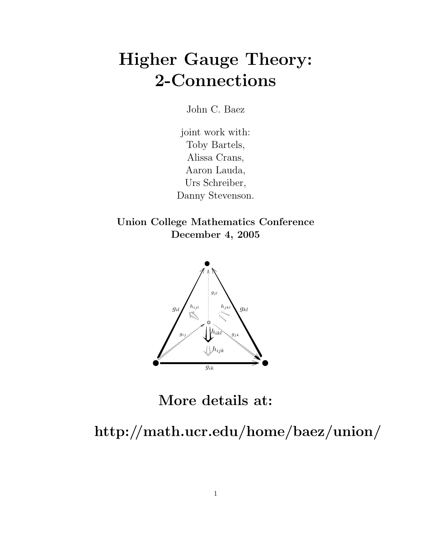# Higher Gauge Theory: 2-Connections

John C. Baez

joint work with: Toby Bartels, Alissa Crans, Aaron Lauda, Urs Schreiber, Danny Stevenson.

Union College Mathematics Conference December 4, 2005



More details at:

http://math.ucr.edu/home/baez/union/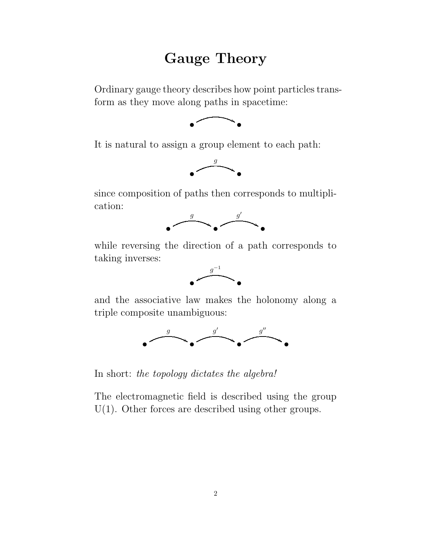## Gauge Theory

Ordinary gauge theory describes how point particles transform as they move along paths in spacetime:



It is natural to assign a group element to each path:



since composition of paths then corresponds to multiplication:



while reversing the direction of a path corresponds to taking inverses:



and the associative law makes the holonomy along a triple composite unambiguous:



In short: the topology dictates the algebra!

The electromagnetic field is described using the group U(1). Other forces are described using other groups.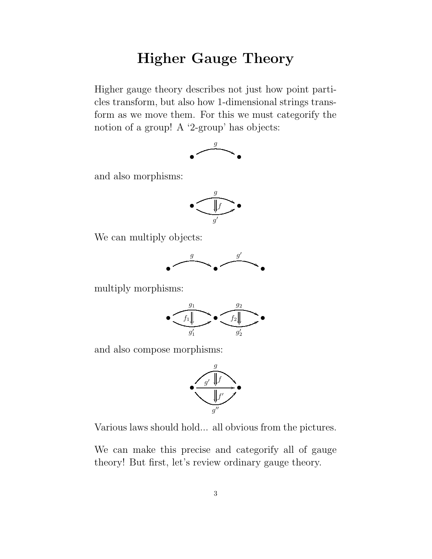# Higher Gauge Theory

Higher gauge theory describes not just how point particles transform, but also how 1-dimensional strings transform as we move them. For this we must categorify the notion of a group! A '2-group' has objects:



and also morphisms:



We can multiply objects:



multiply morphisms:



and also compose morphisms:



Various laws should hold... all obvious from the pictures.

We can make this precise and categorify all of gauge theory! But first, let's review ordinary gauge theory.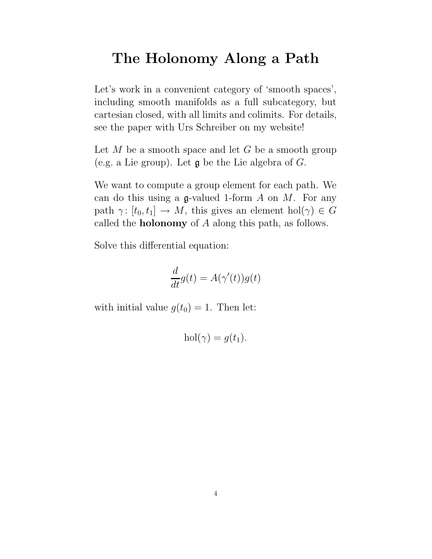#### The Holonomy Along a Path

Let's work in a convenient category of 'smooth spaces', including smooth manifolds as a full subcategory, but cartesian closed, with all limits and colimits. For details, see the paper with Urs Schreiber on my website!

Let  $M$  be a smooth space and let  $G$  be a smooth group (e.g. a Lie group). Let  $\mathfrak g$  be the Lie algebra of  $G$ .

We want to compute a group element for each path. We can do this using a  $\mathfrak g$ -valued 1-form A on M. For any path  $\gamma: [t_0, t_1] \to M$ , this gives an element hol $(\gamma) \in G$ called the holonomy of A along this path, as follows.

Solve this differential equation:

$$
\frac{d}{dt}g(t) = A(\gamma'(t))g(t)
$$

with initial value  $g(t_0) = 1$ . Then let:

$$
hol(\gamma) = g(t_1).
$$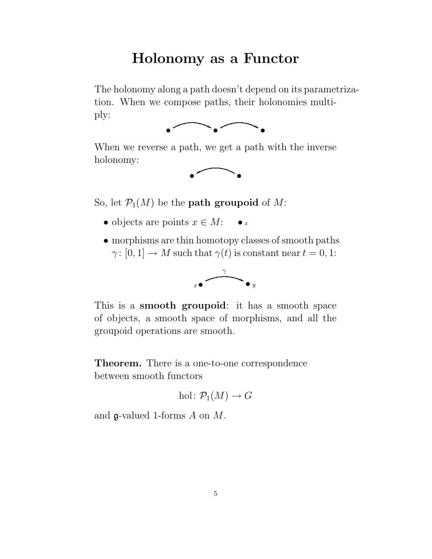#### Holonomy as a Functor

The holonomy along a path doesn't depend on its parametrization. When we compose paths, their holonomies multiply:



When we reverse a path, we get a path with the inverse holonomy:



So, let  $\mathcal{P}_1(M)$  be the **path groupoid** of M:

- objects are points  $x \in M$ : x
- morphisms are thin homotopy classes of smooth paths  $\gamma: [0, 1] \to M$  such that  $\gamma(t)$  is constant near  $t = 0, 1$ :



This is a smooth groupoid: it has a smooth space of objects, a smooth space of morphisms, and all the groupoid operations are smooth.

Theorem. There is a one-to-one correspondence between smooth functors

hol: 
$$
P_1(M) \to G
$$

and  $\mathfrak{g}\text{-valued }1\text{-forms }A \text{ on }M.$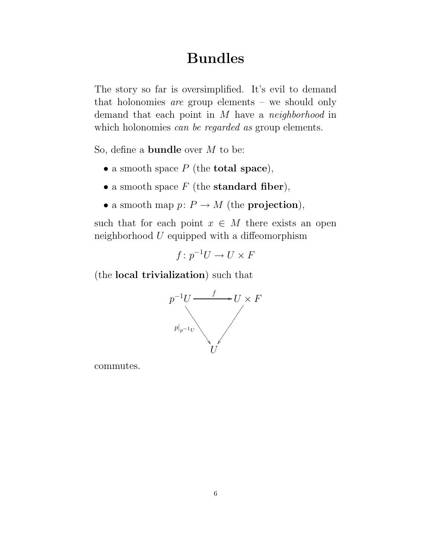# Bundles

The story so far is oversimplified. It's evil to demand that holonomies are group elements – we should only demand that each point in M have a neighborhood in which holonomies *can be regarded as* group elements.

So, define a bundle over M to be:

- a smooth space  $P$  (the **total space**),
- a smooth space  $F$  (the standard fiber),
- a smooth map  $p: P \to M$  (the **projection**),

such that for each point  $x \in M$  there exists an open neighborhood  $U$  equipped with a diffeomorphism

$$
f\colon p^{-1}U\to U\times F
$$

(the local trivialization) such that



commutes.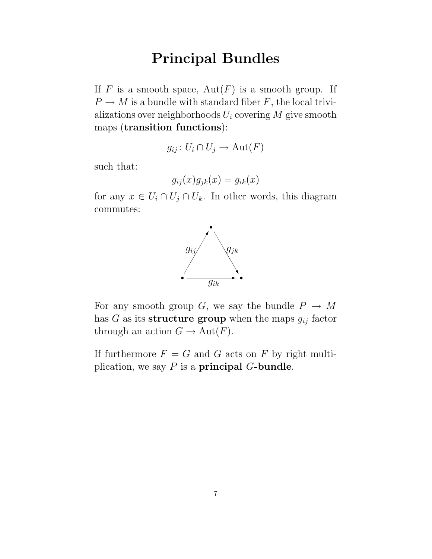# Principal Bundles

If F is a smooth space,  $Aut(F)$  is a smooth group. If  $P \to M$  is a bundle with standard fiber F, the local trivializations over neighborhoods  $U_i$  covering  $M$  give smooth maps (transition functions):

$$
g_{ij} \colon U_i \cap U_j \to \text{Aut}(F)
$$

such that:

$$
g_{ij}(x)g_{jk}(x) = g_{ik}(x)
$$

for any  $x \in U_i \cap U_j \cap U_k$ . In other words, this diagram commutes:



For any smooth group G, we say the bundle  $P \to M$ has  $G$  as its structure group when the maps  $g_{ij}$  factor through an action  $G \to \text{Aut}(F)$ .

If furthermore  $F = G$  and G acts on F by right multiplication, we say  $P$  is a **principal G-bundle**.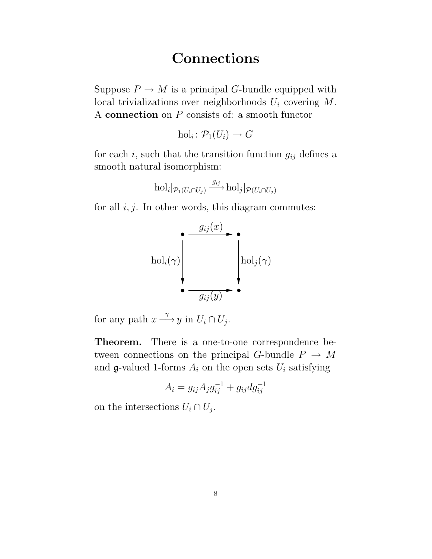#### Connections

Suppose  $P \to M$  is a principal G-bundle equipped with local trivializations over neighborhoods  $U_i$  covering  $M$ . A connection on P consists of: a smooth functor

$$
\mathrm{hol}_i\colon \mathcal{P}_1(U_i)\to G
$$

for each i, such that the transition function  $g_{ij}$  defines a smooth natural isomorphism:

$$
\mathrm{hol}_i|_{\mathcal{P}_1(U_i \cap U_j)} \xrightarrow{g_{ij}} \mathrm{hol}_j|_{\mathcal{P}(U_i \cap U_j)}
$$

for all  $i, j$ . In other words, this diagram commutes:



for any path  $x \stackrel{\gamma}{\longrightarrow} y$  in  $U_i \cap U_j$ .

Theorem. There is a one-to-one correspondence between connections on the principal G-bundle  $P \rightarrow M$ and g-valued 1-forms  $A_i$  on the open sets  $U_i$  satisfying

$$
A_i = g_{ij} A_j g_{ij}^{-1} + g_{ij} dg_{ij}^{-1}
$$

on the intersections  $U_i \cap U_j$ .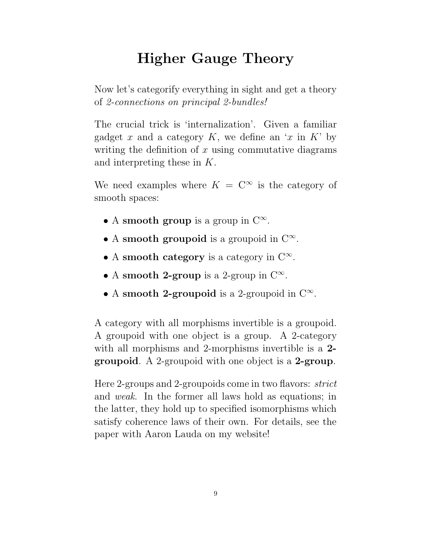# Higher Gauge Theory

Now let's categorify everything in sight and get a theory of 2-connections on principal 2-bundles!

The crucial trick is 'internalization'. Given a familiar gadget x and a category K, we define an 'x in K' by writing the definition of  $x$  using commutative diagrams and interpreting these in K.

We need examples where  $K = \mathbb{C}^{\infty}$  is the category of smooth spaces:

- A smooth group is a group in  $C^{\infty}$ .
- A smooth groupoid is a groupoid in  $C^{\infty}$ .
- A smooth category is a category in  $C^{\infty}$ .
- A smooth 2-group is a 2-group in  $C^{\infty}$ .
- A smooth 2-groupoid is a 2-groupoid in  $C^{\infty}$ .

A category with all morphisms invertible is a groupoid. A groupoid with one object is a group. A 2-category with all morphisms and 2-morphisms invertible is a 2groupoid. A 2-groupoid with one object is a 2-group.

Here 2-groups and 2-groupoids come in two flavors: strict and weak. In the former all laws hold as equations; in the latter, they hold up to specified isomorphisms which satisfy coherence laws of their own. For details, see the paper with Aaron Lauda on my website!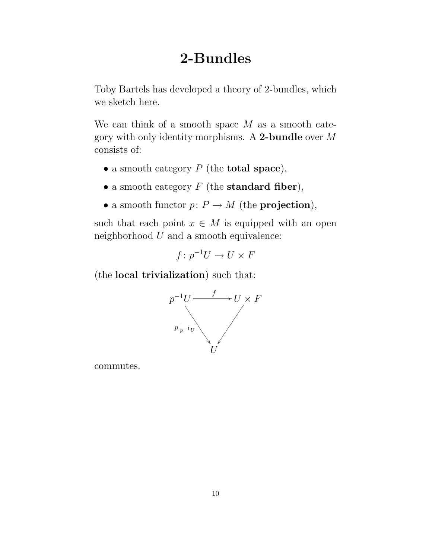## 2-Bundles

Toby Bartels has developed a theory of 2-bundles, which we sketch here.

We can think of a smooth space  $M$  as a smooth category with only identity morphisms. A 2-bundle over M consists of:

- a smooth category  $P$  (the **total space**),
- a smooth category  $F$  (the standard fiber),
- a smooth functor  $p: P \to M$  (the **projection**),

such that each point  $x \in M$  is equipped with an open neighborhood  $U$  and a smooth equivalence:

$$
f\colon p^{-1}U\to U\times F
$$

(the local trivialization) such that:



commutes.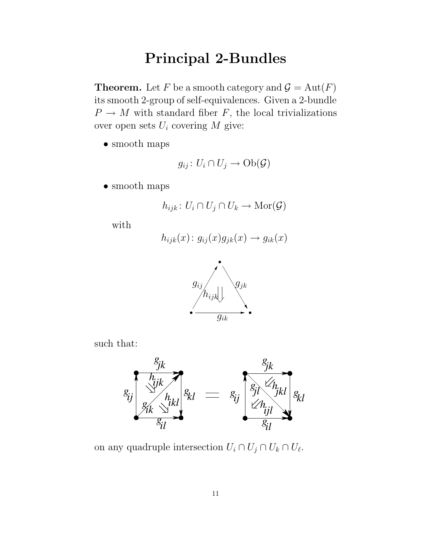# Principal 2-Bundles

**Theorem.** Let F be a smooth category and  $\mathcal{G} = \text{Aut}(F)$ its smooth 2-group of self-equivalences. Given a 2-bundle  $P \to M$  with standard fiber F, the local trivializations over open sets  $U_i$  covering  $M$  give:

• smooth maps

$$
g_{ij} \colon U_i \cap U_j \to \mathrm{Ob}(\mathcal{G})
$$

• smooth maps

$$
h_{ijk}: U_i \cap U_j \cap U_k \to \text{Mor}(\mathcal{G})
$$

with

$$
h_{ijk}(x) \colon g_{ij}(x)g_{jk}(x) \to g_{ik}(x)
$$



such that:



on any quadruple intersection  $U_i \cap U_j \cap U_k \cap U_{\ell}$ .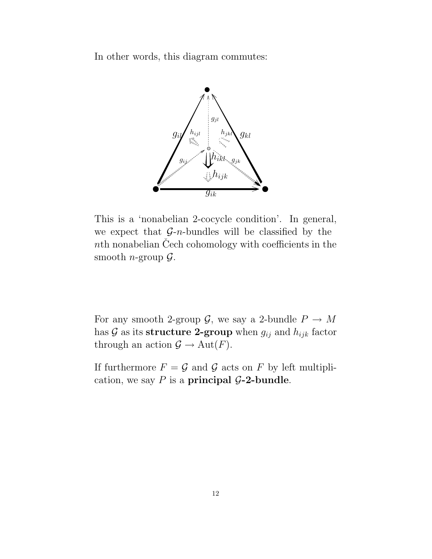In other words, this diagram commutes:



This is a 'nonabelian 2-cocycle condition'. In general, we expect that  $G$ -n-bundles will be classified by the nth nonabelian Cech cohomology with coefficients in the smooth *n*-group  $\mathcal{G}$ .

For any smooth 2-group  $\mathcal{G}$ , we say a 2-bundle  $P \to M$ has  $G$  as its structure 2-group when  $g_{ij}$  and  $h_{ijk}$  factor through an action  $\mathcal{G} \to \text{Aut}(F)$ .

If furthermore  $F = \mathcal{G}$  and  $\mathcal{G}$  acts on F by left multiplication, we say  $P$  is a principal  $\mathcal{G}\text{-}2\text{-bundle}.$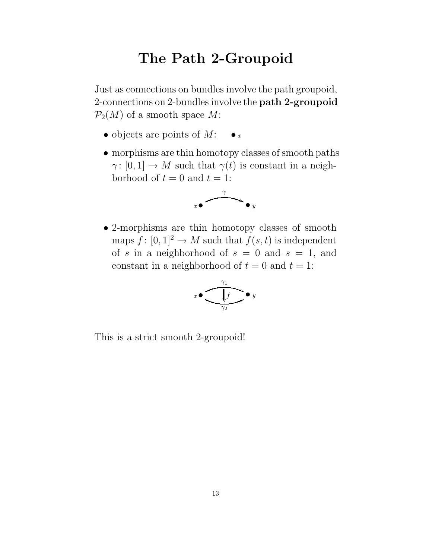## The Path 2-Groupoid

Just as connections on bundles involve the path groupoid, 2-connections on 2-bundles involve the path 2-groupoid  $\mathcal{P}_2(M)$  of a smooth space M:

- objects are points of  $M:$   $\bullet x$
- morphisms are thin homotopy classes of smooth paths  $\gamma: [0, 1] \to M$  such that  $\gamma(t)$  is constant in a neighborhood of  $t = 0$  and  $t = 1$ :



• 2-morphisms are thin homotopy classes of smooth maps  $f: [0, 1]^2 \to M$  such that  $f(s, t)$  is independent of s in a neighborhood of  $s = 0$  and  $s = 1$ , and constant in a neighborhood of  $t = 0$  and  $t = 1$ :

$$
x \bullet \overbrace{\frac{\sqrt{1}}{\gamma_2}}^{\gamma_1} \bullet y
$$

This is a strict smooth 2-groupoid!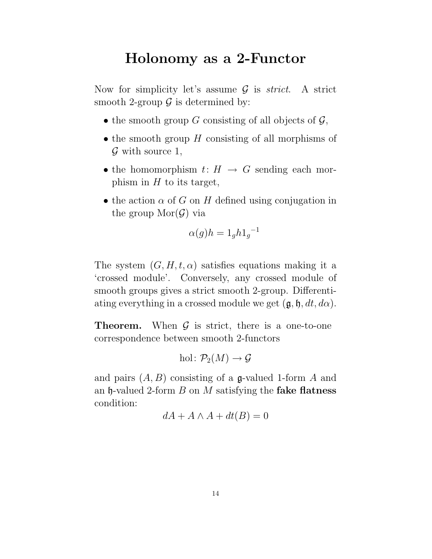## Holonomy as a 2-Functor

Now for simplicity let's assume  $\mathcal G$  is *strict*. A strict smooth 2-group  $\mathcal G$  is determined by:

- the smooth group G consisting of all objects of  $\mathcal{G}$ ,
- the smooth group  $H$  consisting of all morphisms of  $\mathcal G$  with source 1,
- the homomorphism  $t: H \to G$  sending each morphism in  $H$  to its target,
- the action  $\alpha$  of G on H defined using conjugation in the group  $\text{Mor}(\mathcal{G})$  via

$$
\alpha(g)h = 1_g h 1_g^{-1}
$$

The system  $(G, H, t, \alpha)$  satisfies equations making it a 'crossed module'. Conversely, any crossed module of smooth groups gives a strict smooth 2-group. Differentiating everything in a crossed module we get  $(\mathfrak{g}, \mathfrak{h}, dt, d\alpha)$ .

**Theorem.** When  $\mathcal{G}$  is strict, there is a one-to-one correspondence between smooth 2-functors

hol: 
$$
\mathcal{P}_2(M) \to \mathcal{G}
$$

and pairs  $(A, B)$  consisting of a g-valued 1-form A and an  $\mathfrak h$ -valued 2-form B on M satisfying the **fake flatness** condition:

$$
dA + A \wedge A + dt(B) = 0
$$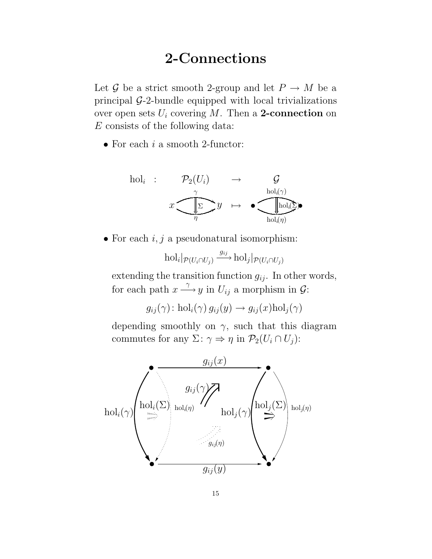## 2-Connections

Let G be a strict smooth 2-group and let  $P \to M$  be a principal G-2-bundle equipped with local trivializations over open sets  $U_i$  covering M. Then a 2-connection on E consists of the following data:

• For each  $i$  a smooth 2-functor:



• For each  $i, j$  a pseudonatural isomorphism:

 $\mathrm{hol}_{i}|_{\mathcal{P}(U_{i} \cap U_{j})} \xrightarrow{g_{ij}} \mathrm{hol}_{j}|_{\mathcal{P}(U_{i} \cap U_{j})}$ 

extending the transition function  $g_{ij}$ . In other words, for each path  $x \stackrel{\gamma}{\longrightarrow} y$  in  $U_{ij}$  a morphism in  $\mathcal{G}$ :

 $g_{ij}(\gamma)$ : hol<sub>i</sub> $(\gamma) g_{ij}(y) \rightarrow g_{ij}(x)$ hol<sub>j</sub> $(\gamma)$ 

depending smoothly on  $\gamma$ , such that this diagram commutes for any  $\Sigma: \gamma \Rightarrow \eta$  in  $\mathcal{P}_2(U_i \cap U_j)$ :

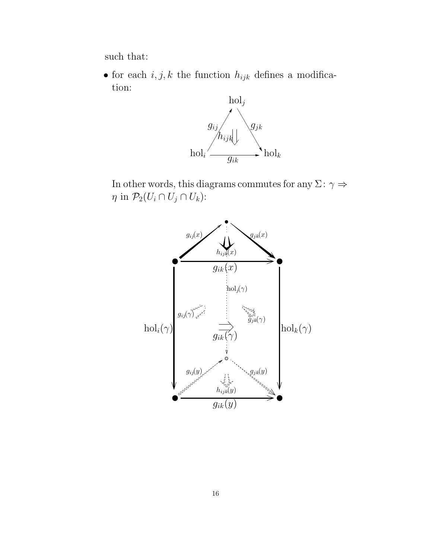such that:

• for each  $i, j, k$  the function  $h_{ijk}$  defines a modification:



In other words, this diagrams commutes for any  $\Sigma\colon\gamma\Rightarrow$  $\eta$  in  $\mathcal{P}_2(U_i \cap U_j \cap U_k)$ :